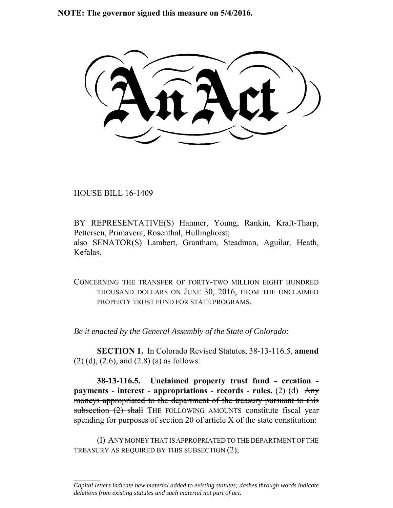**NOTE: The governor signed this measure on 5/4/2016.**

HOUSE BILL 16-1409

 $\frac{1}{2}$ 

BY REPRESENTATIVE(S) Hamner, Young, Rankin, Kraft-Tharp, Pettersen, Primavera, Rosenthal, Hullinghorst; also SENATOR(S) Lambert, Grantham, Steadman, Aguilar, Heath, Kefalas.

CONCERNING THE TRANSFER OF FORTY-TWO MILLION EIGHT HUNDRED THOUSAND DOLLARS ON JUNE 30, 2016, FROM THE UNCLAIMED PROPERTY TRUST FUND FOR STATE PROGRAMS.

*Be it enacted by the General Assembly of the State of Colorado:*

**SECTION 1.** In Colorado Revised Statutes, 38-13-116.5, **amend** (2) (d), (2.6), and (2.8) (a) as follows:

**38-13-116.5. Unclaimed property trust fund - creation payments - interest - appropriations - records - rules.** (2) (d) Any moneys appropriated to the department of the treasury pursuant to this subsection (2) shall THE FOLLOWING AMOUNTS constitute fiscal year spending for purposes of section 20 of article X of the state constitution:

(I) ANY MONEY THAT IS APPROPRIATED TO THE DEPARTMENT OF THE TREASURY AS REQUIRED BY THIS SUBSECTION (2);

*Capital letters indicate new material added to existing statutes; dashes through words indicate deletions from existing statutes and such material not part of act.*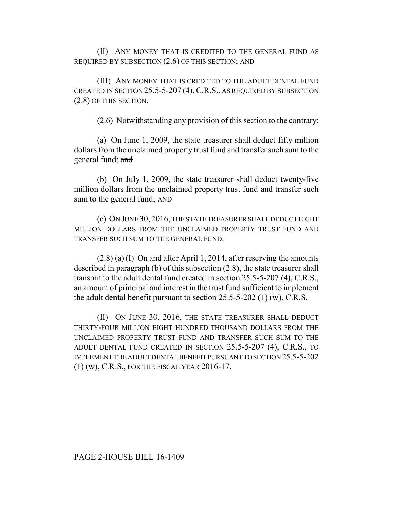(II) ANY MONEY THAT IS CREDITED TO THE GENERAL FUND AS REQUIRED BY SUBSECTION (2.6) OF THIS SECTION; AND

(III) ANY MONEY THAT IS CREDITED TO THE ADULT DENTAL FUND CREATED IN SECTION 25.5-5-207 (4), C.R.S., AS REQUIRED BY SUBSECTION (2.8) OF THIS SECTION.

(2.6) Notwithstanding any provision of this section to the contrary:

(a) On June 1, 2009, the state treasurer shall deduct fifty million dollars from the unclaimed property trust fund and transfer such sum to the general fund; and

(b) On July 1, 2009, the state treasurer shall deduct twenty-five million dollars from the unclaimed property trust fund and transfer such sum to the general fund; AND

(c) ON JUNE 30, 2016, THE STATE TREASURER SHALL DEDUCT EIGHT MILLION DOLLARS FROM THE UNCLAIMED PROPERTY TRUST FUND AND TRANSFER SUCH SUM TO THE GENERAL FUND.

(2.8) (a) (I) On and after April 1, 2014, after reserving the amounts described in paragraph (b) of this subsection (2.8), the state treasurer shall transmit to the adult dental fund created in section 25.5-5-207 (4), C.R.S., an amount of principal and interest in the trust fund sufficient to implement the adult dental benefit pursuant to section 25.5-5-202 (1) (w), C.R.S.

(II) ON JUNE 30, 2016, THE STATE TREASURER SHALL DEDUCT THIRTY-FOUR MILLION EIGHT HUNDRED THOUSAND DOLLARS FROM THE UNCLAIMED PROPERTY TRUST FUND AND TRANSFER SUCH SUM TO THE ADULT DENTAL FUND CREATED IN SECTION 25.5-5-207 (4), C.R.S., TO IMPLEMENT THE ADULT DENTAL BENEFIT PURSUANT TO SECTION 25.5-5-202 (1) (w), C.R.S., FOR THE FISCAL YEAR 2016-17.